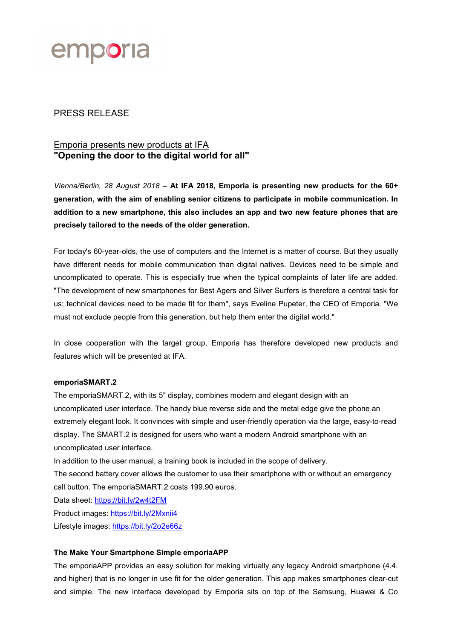

## PRESS RELEASE

# Emporia presents new products at IFA "Opening the door to the digital world for all"

Vienna/Berlin, 28 August 2018 – At IFA 2018, Emporia is presenting new products for the 60+ generation, with the aim of enabling senior citizens to participate in mobile communication. In addition to a new smartphone, this also includes an app and two new feature phones that are precisely tailored to the needs of the older generation.

For today's 60-year-olds, the use of computers and the Internet is a matter of course. But they usually have different needs for mobile communication than digital natives. Devices need to be simple and uncomplicated to operate. This is especially true when the typical complaints of later life are added. "The development of new smartphones for Best Agers and Silver Surfers is therefore a central task for us; technical devices need to be made fit for them", says Eveline Pupeter, the CEO of Emporia. "We must not exclude people from this generation, but help them enter the digital world."

In close cooperation with the target group, Emporia has therefore developed new products and features which will be presented at IFA.

#### emporiaSMART.2

The emporiaSMART.2, with its 5" display, combines modern and elegant design with an uncomplicated user interface. The handy blue reverse side and the metal edge give the phone an extremely elegant look. It convinces with simple and user-friendly operation via the large, easy-to-read display. The SMART.2 is designed for users who want a modern Android smartphone with an uncomplicated user interface.

In addition to the user manual, a training book is included in the scope of delivery.

The second battery cover allows the customer to use their smartphone with or without an emergency call button. The emporiaSMART.2 costs 199.90 euros.

Data sheet: https://bit.ly/2w4t2FM

Product images: https://bit.ly/2Mxnii4

Lifestyle images: https://bit.ly/2o2e66z

### The Make Your Smartphone Simple emporiaAPP

The emporiaAPP provides an easy solution for making virtually any legacy Android smartphone (4.4. and higher) that is no longer in use fit for the older generation. This app makes smartphones clear-cut and simple. The new interface developed by Emporia sits on top of the Samsung, Huawei & Co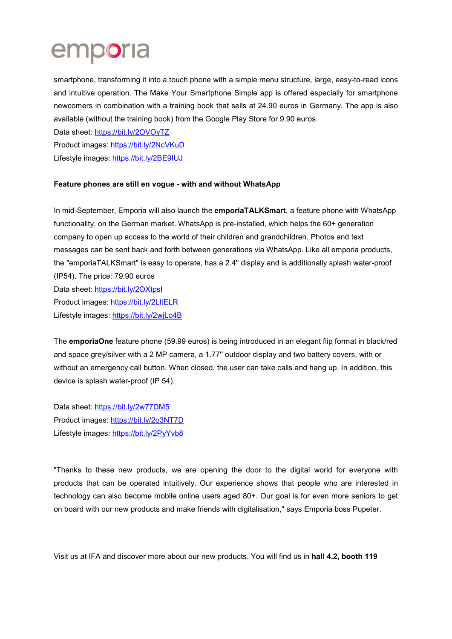# emporia

smartphone, transforming it into a touch phone with a simple menu structure, large, easy-to-read icons and intuitive operation. The Make Your Smartphone Simple app is offered especially for smartphone newcomers in combination with a training book that sells at 24.90 euros in Germany. The app is also available (without the training book) from the Google Play Store for 9.90 euros.

Data sheet: https://bit.ly/2OVOyTZ

Product images: https://bit.ly/2NcVKuD

Lifestyle images: https://bit.ly/2BE9IUJ

## Feature phones are still en vogue - with and without WhatsApp

In mid-September, Emporia will also launch the **emporiaTALKSmart**, a feature phone with WhatsApp functionality, on the German market. WhatsApp is pre-installed, which helps the 60+ generation company to open up access to the world of their children and grandchildren. Photos and text messages can be sent back and forth between generations via WhatsApp. Like all emporia products, the "emporiaTALKSmart" is easy to operate, has a 2.4'' display and is additionally splash water-proof (IP54). The price: 79.90 euros Data sheet: https://bit.ly/2OXtpsI Product images: https://bit.ly/2LltELR Lifestyle images: https://bit.ly/2wjLo4B

The emporiaOne feature phone (59.99 euros) is being introduced in an elegant flip format in black/red and space grey/silver with a 2 MP camera, a 1.77'' outdoor display and two battery covers, with or without an emergency call button. When closed, the user can take calls and hang up. In addition, this device is splash water-proof (IP 54).

Data sheet: https://bit.ly/2w77DM5 Product images: https://bit.ly/2o3NT7D Lifestyle images: https://bit.ly/2PyYvb8

"Thanks to these new products, we are opening the door to the digital world for everyone with products that can be operated intuitively. Our experience shows that people who are interested in technology can also become mobile online users aged 80+. Our goal is for even more seniors to get on board with our new products and make friends with digitalisation," says Emporia boss Pupeter.

Visit us at IFA and discover more about our new products. You will find us in hall 4.2, booth 119